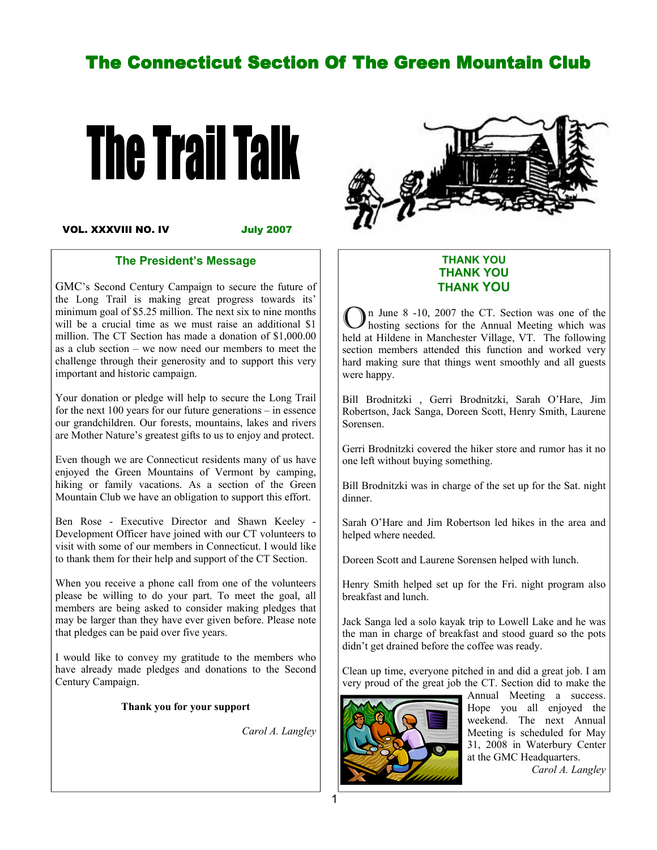# The Connecticut Section Of The Green Mountain Club



VOL. XXXVIII NO. IV

July 2007

#### The President's Message

GMC's Second Century Campaign to secure the future of the Long Trail is making great progress towards its' minimum goal of \$5.25 million. The next six to nine months will be a crucial time as we must raise an additional \$1 million. The CT Section has made a donation of \$1,000.00 as a club section – we now need our members to meet the challenge through their generosity and to support this very important and historic campaign.

Your donation or pledge will help to secure the Long Trail for the next 100 years for our future generations – in essence our grandchildren. Our forests, mountains, lakes and rivers are Mother Nature's greatest gifts to us to enjoy and protect.

Even though we are Connecticut residents many of us have enjoyed the Green Mountains of Vermont by camping, hiking or family vacations. As a section of the Green Mountain Club we have an obligation to support this effort.

Ben Rose - Executive Director and Shawn Keeley - Development Officer have joined with our CT volunteers to visit with some of our members in Connecticut. I would like to thank them for their help and support of the CT Section.

When you receive a phone call from one of the volunteers please be willing to do your part. To meet the goal, all members are being asked to consider making pledges that may be larger than they have ever given before. Please note that pledges can be paid over five years.

I would like to convey my gratitude to the members who have already made pledges and donations to the Second Century Campaign.

#### Thank you for your support

Carol A. Langley



#### THANK YOU THANK YOU THANK YOU

n June 8 -10, 2007 the CT. Section was one of the hosting sections for the Annual Meeting which was held at Hildene in Manchester Village, VT. The following section members attended this function and worked very hard making sure that things went smoothly and all guests were happy.

Bill Brodnitzki , Gerri Brodnitzki, Sarah O'Hare, Jim Robertson, Jack Sanga, Doreen Scott, Henry Smith, Laurene Sorensen.

Gerri Brodnitzki covered the hiker store and rumor has it no one left without buying something.

Bill Brodnitzki was in charge of the set up for the Sat. night dinner.

Sarah O'Hare and Jim Robertson led hikes in the area and helped where needed.

Doreen Scott and Laurene Sorensen helped with lunch.

Henry Smith helped set up for the Fri. night program also breakfast and lunch.

Jack Sanga led a solo kayak trip to Lowell Lake and he was the man in charge of breakfast and stood guard so the pots didn't get drained before the coffee was ready.

Clean up time, everyone pitched in and did a great job. I am very proud of the great job the CT. Section did to make the



Annual Meeting a success. Hope you all enjoyed the weekend. The next Annual Meeting is scheduled for May 31, 2008 in Waterbury Center at the GMC Headquarters.

Carol A. Langley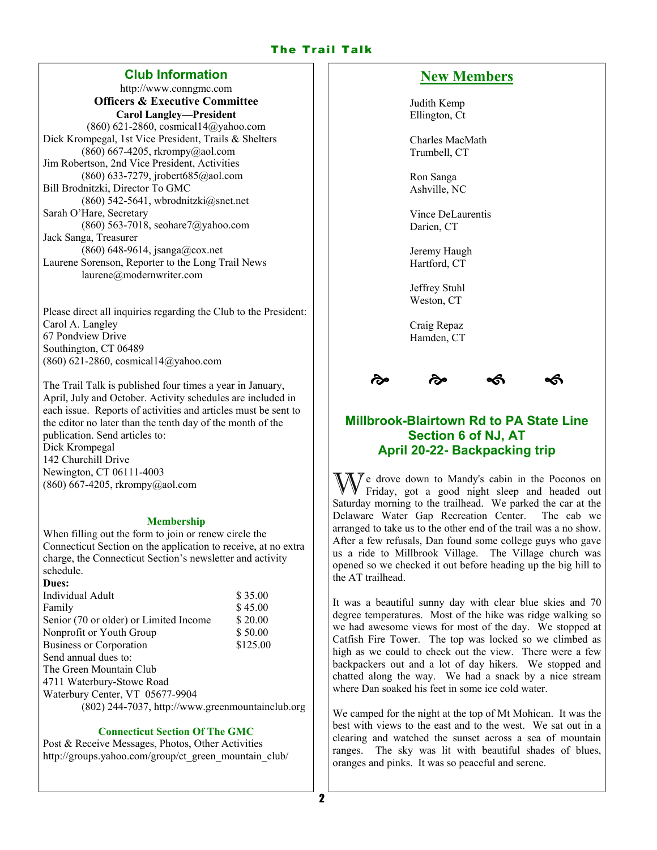### The Trail Talk

#### Club Information

http://www.conngmc.com Officers & Executive Committee Carol Langley—President (860) 621-2860, cosmical14@yahoo.com Dick Krompegal, 1st Vice President, Trails & Shelters (860) 667-4205, rkrompy@aol.com Jim Robertson, 2nd Vice President, Activities (860) 633-7279, jrobert685@aol.com Bill Brodnitzki, Director To GMC (860) 542-5641, wbrodnitzki $@$ snet.net Sarah O'Hare, Secretary  $(860)$  563-7018, seohare7@yahoo.com Jack Sanga, Treasurer (860) 648-9614, jsanga@cox.net Laurene Sorenson, Reporter to the Long Trail News laurene@modernwriter.com

Please direct all inquiries regarding the Club to the President: Carol A. Langley 67 Pondview Drive Southington, CT 06489 (860) 621-2860, cosmical14@yahoo.com

The Trail Talk is published four times a year in January, April, July and October. Activity schedules are included in each issue. Reports of activities and articles must be sent to the editor no later than the tenth day of the month of the publication. Send articles to: Dick Krompegal 142 Churchill Drive Newington, CT 06111-4003 (860) 667-4205, rkrompy@aol.com

#### Membership

When filling out the form to join or renew circle the Connecticut Section on the application to receive, at no extra charge, the Connecticut Section's newsletter and activity schedule.

| Dues:                                            |          |
|--------------------------------------------------|----------|
| Individual Adult                                 | \$35.00  |
| Family                                           | \$45.00  |
| Senior (70 or older) or Limited Income           | \$20.00  |
| Nonprofit or Youth Group                         | \$50.00  |
| <b>Business or Corporation</b>                   | \$125.00 |
| Send annual dues to:                             |          |
| The Green Mountain Club                          |          |
| 4711 Waterbury-Stowe Road                        |          |
| Waterbury Center, VT 05677-9904                  |          |
| (802) 244-7037, http://www.greenmountainclub.org |          |
|                                                  |          |

#### Connecticut Section Of The GMC

Post & Receive Messages, Photos, Other Activities http://groups.yahoo.com/group/ct\_green\_mountain\_club/

### New Members

Judith Kemp Ellington, Ct

Charles MacMath Trumbell, CT

Ron Sanga Ashville, NC

Vince DeLaurentis Darien, CT

Jeremy Haugh Hartford, CT

Jeffrey Stuhl Weston, CT

Craig Repaz Hamden, CT





### Millbrook-Blairtown Rd to PA State Line Section 6 of NJ, AT April 20-22- Backpacking trip

 $\bar{y}$  e drove down to Mandy's cabin in the Poconos on Friday, got a good night sleep and headed out Saturday morning to the trailhead. We parked the car at the Delaware Water Gap Recreation Center. The cab we arranged to take us to the other end of the trail was a no show. After a few refusals, Dan found some college guys who gave us a ride to Millbrook Village. The Village church was opened so we checked it out before heading up the big hill to the AT trailhead.

It was a beautiful sunny day with clear blue skies and 70 degree temperatures. Most of the hike was ridge walking so we had awesome views for most of the day. We stopped at Catfish Fire Tower. The top was locked so we climbed as high as we could to check out the view. There were a few backpackers out and a lot of day hikers. We stopped and chatted along the way. We had a snack by a nice stream where Dan soaked his feet in some ice cold water.

We camped for the night at the top of Mt Mohican. It was the best with views to the east and to the west. We sat out in a clearing and watched the sunset across a sea of mountain ranges. The sky was lit with beautiful shades of blues, oranges and pinks. It was so peaceful and serene.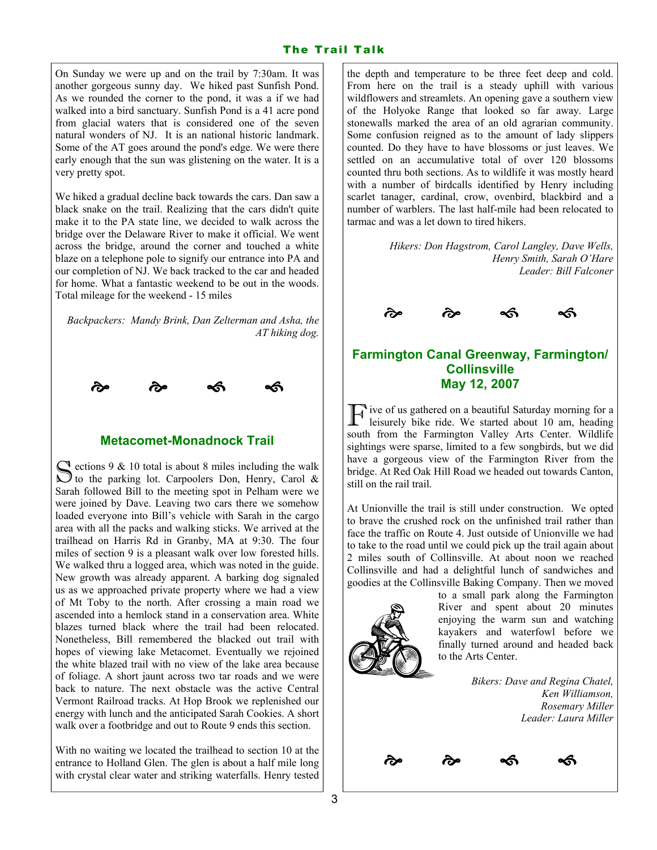On Sunday we were up and on the trail by 7:30am. It was another gorgeous sunny day. We hiked past Sunfish Pond. As we rounded the corner to the pond, it was a if we had walked into a bird sanctuary. Sunfish Pond is a 41 acre pond from glacial waters that is considered one of the seven natural wonders of NJ. It is an national historic landmark. Some of the AT goes around the pond's edge. We were there early enough that the sun was glistening on the water. It is a very pretty spot.

We hiked a gradual decline back towards the cars. Dan saw a black snake on the trail. Realizing that the cars didn't quite make it to the PA state line, we decided to walk across the bridge over the Delaware River to make it official. We went across the bridge, around the corner and touched a white blaze on a telephone pole to signify our entrance into PA and our completion of NJ. We back tracked to the car and headed for home. What a fantastic weekend to be out in the woods. Total mileage for the weekend - 15 miles

Backpackers: Mandy Brink, Dan Zelterman and Asha, the AT hiking dog.



#### Metacomet-Monadnock Trail

S ections 9 & 10 total is about 8 miles including the walk<br>S to the parking lot. Carpoolers Don, Henry, Carol & Sarah followed Bill to the meeting spot in Pelham were we were joined by Dave. Leaving two cars there we somehow loaded everyone into Bill's vehicle with Sarah in the cargo area with all the packs and walking sticks. We arrived at the trailhead on Harris Rd in Granby, MA at 9:30. The four miles of section 9 is a pleasant walk over low forested hills. We walked thru a logged area, which was noted in the guide. New growth was already apparent. A barking dog signaled us as we approached private property where we had a view of Mt Toby to the north. After crossing a main road we ascended into a hemlock stand in a conservation area. White blazes turned black where the trail had been relocated. Nonetheless, Bill remembered the blacked out trail with hopes of viewing lake Metacomet. Eventually we rejoined the white blazed trail with no view of the lake area because of foliage. A short jaunt across two tar roads and we were back to nature. The next obstacle was the active Central Vermont Railroad tracks. At Hop Brook we replenished our energy with lunch and the anticipated Sarah Cookies. A short walk over a footbridge and out to Route 9 ends this section.

With no waiting we located the trailhead to section 10 at the entrance to Holland Glen. The glen is about a half mile long with crystal clear water and striking waterfalls. Henry tested

the depth and temperature to be three feet deep and cold. From here on the trail is a steady uphill with various wildflowers and streamlets. An opening gave a southern view of the Holyoke Range that looked so far away. Large stonewalls marked the area of an old agrarian community. Some confusion reigned as to the amount of lady slippers counted. Do they have to have blossoms or just leaves. We settled on an accumulative total of over 120 blossoms counted thru both sections. As to wildlife it was mostly heard with a number of birdcalls identified by Henry including scarlet tanager, cardinal, crow, ovenbird, blackbird and a number of warblers. The last half-mile had been relocated to tarmac and was a let down to tired hikers.

> Hikers: Don Hagstrom, Carol Langley, Dave Wells, Henry Smith, Sarah O'Hare Leader: Bill Falconer



### Farmington Canal Greenway, Farmington/ **Collinsville** May 12, 2007

 $\prod$  ive of us gathered on a beautiful Saturday morning for a leisurely bike ride. We started about 10 am, heading south from the Farmington Valley Arts Center. Wildlife sightings were sparse, limited to a few songbirds, but we did have a gorgeous view of the Farmington River from the bridge. At Red Oak Hill Road we headed out towards Canton, still on the rail trail.

At Unionville the trail is still under construction. We opted to brave the crushed rock on the unfinished trail rather than face the traffic on Route 4. Just outside of Unionville we had to take to the road until we could pick up the trail again about 2 miles south of Collinsville. At about noon we reached Collinsville and had a delightful lunch of sandwiches and goodies at the Collinsville Baking Company. Then we moved

्<br>लेख के प**ी** 



to a small park along the Farmington River and spent about 20 minutes enjoying the warm sun and watching kayakers and waterfowl before we finally turned around and headed back to the Arts Center.

> Bikers: Dave and Regina Chatel, Ken Williamson, Rosemary Miller Leader: Laura Miller

> > $\sim$

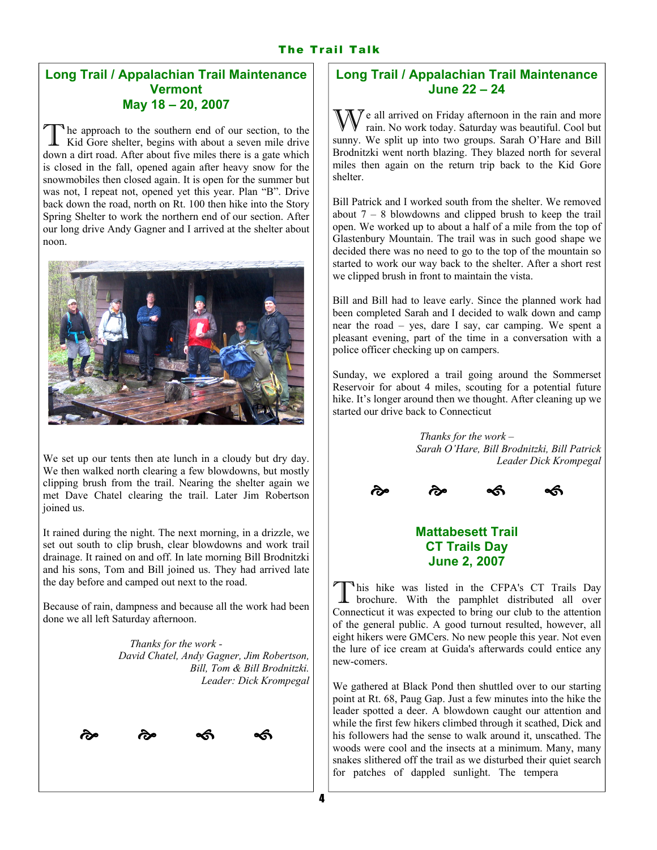## The Trail Talk

## Long Trail / Appalachian Trail Maintenance **Vermont** May 18 – 20, 2007

The approach to the southern end of our section, to the Kid Gore shelter, begins with about a seven mile drive down a dirt road. After about five miles there is a gate which is closed in the fall, opened again after heavy snow for the snowmobiles then closed again. It is open for the summer but was not, I repeat not, opened yet this year. Plan "B". Drive back down the road, north on Rt. 100 then hike into the Story Spring Shelter to work the northern end of our section. After our long drive Andy Gagner and I arrived at the shelter about noon.



We set up our tents then ate lunch in a cloudy but dry day. We then walked north clearing a few blowdowns, but mostly clipping brush from the trail. Nearing the shelter again we met Dave Chatel clearing the trail. Later Jim Robertson joined us.

It rained during the night. The next morning, in a drizzle, we set out south to clip brush, clear blowdowns and work trail drainage. It rained on and off. In late morning Bill Brodnitzki and his sons, Tom and Bill joined us. They had arrived late the day before and camped out next to the road.

Because of rain, dampness and because all the work had been done we all left Saturday afternoon.

> Thanks for the work - David Chatel, Andy Gagner, Jim Robertson, Bill, Tom & Bill Brodnitzki. Leader: Dick Krompegal



## Long Trail / Appalachian Trail Maintenance June 22 – 24

 $\mathcal{J}$  e all arrived on Friday afternoon in the rain and more rain. No work today. Saturday was beautiful. Cool but sunny. We split up into two groups. Sarah O'Hare and Bill Brodnitzki went north blazing. They blazed north for several miles then again on the return trip back to the Kid Gore shelter.

Bill Patrick and I worked south from the shelter. We removed about  $7 - 8$  blowdowns and clipped brush to keep the trail open. We worked up to about a half of a mile from the top of Glastenbury Mountain. The trail was in such good shape we decided there was no need to go to the top of the mountain so started to work our way back to the shelter. After a short rest we clipped brush in front to maintain the vista.

Bill and Bill had to leave early. Since the planned work had been completed Sarah and I decided to walk down and camp near the road – yes, dare I say, car camping. We spent a pleasant evening, part of the time in a conversation with a police officer checking up on campers.

Sunday, we explored a trail going around the Sommerset Reservoir for about 4 miles, scouting for a potential future hike. It's longer around then we thought. After cleaning up we started our drive back to Connecticut

> Thanks for the work – Sarah O'Hare, Bill Brodnitzki, Bill Patrick Leader Dick Krompegal



# Mattabesett Trail CT Trails Day June 2, 2007

<sup>1</sup>his hike was listed in the CFPA's CT Trails Day brochure. With the pamphlet distributed all over Connecticut it was expected to bring our club to the attention of the general public. A good turnout resulted, however, all eight hikers were GMCers. No new people this year. Not even the lure of ice cream at Guida's afterwards could entice any new-comers.

We gathered at Black Pond then shuttled over to our starting point at Rt. 68, Paug Gap. Just a few minutes into the hike the leader spotted a deer. A blowdown caught our attention and while the first few hikers climbed through it scathed, Dick and his followers had the sense to walk around it, unscathed. The woods were cool and the insects at a minimum. Many, many snakes slithered off the trail as we disturbed their quiet search for patches of dappled sunlight. The tempera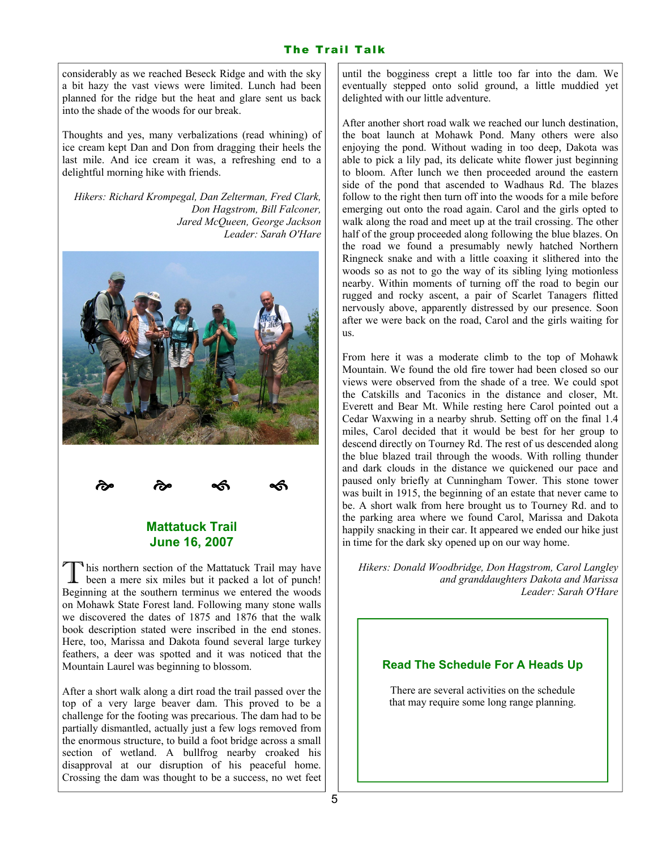considerably as we reached Beseck Ridge and with the sky a bit hazy the vast views were limited. Lunch had been planned for the ridge but the heat and glare sent us back into the shade of the woods for our break.

Thoughts and yes, many verbalizations (read whining) of ice cream kept Dan and Don from dragging their heels the last mile. And ice cream it was, a refreshing end to a delightful morning hike with friends.

Hikers: Richard Krompegal, Dan Zelterman, Fred Clark, Don Hagstrom, Bill Falconer, Jared McQueen, George Jackson Leader: Sarah O'Hare





∽∕

### Mattatuck Trail June 16, 2007

This northern section of the Mattatuck Trail may have been a mere six miles but it packed a lot of punch! Beginning at the southern terminus we entered the woods on Mohawk State Forest land. Following many stone walls we discovered the dates of 1875 and 1876 that the walk book description stated were inscribed in the end stones. Here, too, Marissa and Dakota found several large turkey feathers, a deer was spotted and it was noticed that the Mountain Laurel was beginning to blossom.

After a short walk along a dirt road the trail passed over the top of a very large beaver dam. This proved to be a challenge for the footing was precarious. The dam had to be partially dismantled, actually just a few logs removed from the enormous structure, to build a foot bridge across a small section of wetland. A bullfrog nearby croaked his disapproval at our disruption of his peaceful home. Crossing the dam was thought to be a success, no wet feet

until the bogginess crept a little too far into the dam. We eventually stepped onto solid ground, a little muddied yet delighted with our little adventure.

After another short road walk we reached our lunch destination, the boat launch at Mohawk Pond. Many others were also enjoying the pond. Without wading in too deep, Dakota was able to pick a lily pad, its delicate white flower just beginning to bloom. After lunch we then proceeded around the eastern side of the pond that ascended to Wadhaus Rd. The blazes follow to the right then turn off into the woods for a mile before emerging out onto the road again. Carol and the girls opted to walk along the road and meet up at the trail crossing. The other half of the group proceeded along following the blue blazes. On the road we found a presumably newly hatched Northern Ringneck snake and with a little coaxing it slithered into the woods so as not to go the way of its sibling lying motionless nearby. Within moments of turning off the road to begin our rugged and rocky ascent, a pair of Scarlet Tanagers flitted nervously above, apparently distressed by our presence. Soon after we were back on the road, Carol and the girls waiting for us.

From here it was a moderate climb to the top of Mohawk Mountain. We found the old fire tower had been closed so our views were observed from the shade of a tree. We could spot the Catskills and Taconics in the distance and closer, Mt. Everett and Bear Mt. While resting here Carol pointed out a Cedar Waxwing in a nearby shrub. Setting off on the final 1.4 miles, Carol decided that it would be best for her group to descend directly on Tourney Rd. The rest of us descended along the blue blazed trail through the woods. With rolling thunder and dark clouds in the distance we quickened our pace and paused only briefly at Cunningham Tower. This stone tower was built in 1915, the beginning of an estate that never came to be. A short walk from here brought us to Tourney Rd. and to the parking area where we found Carol, Marissa and Dakota happily snacking in their car. It appeared we ended our hike just in time for the dark sky opened up on our way home.

Hikers: Donald Woodbridge, Don Hagstrom, Carol Langley and granddaughters Dakota and Marissa Leader: Sarah O'Hare

### Read The Schedule For A Heads Up

There are several activities on the schedule that may require some long range planning.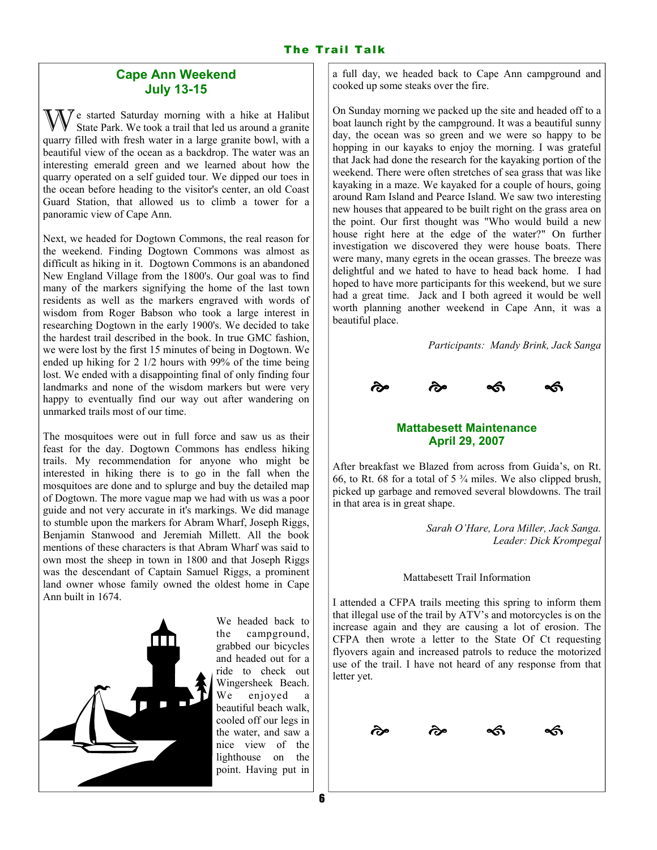#### Cape Ann Weekend July 13-15

 $\gamma$  e started Saturday morning with a hike at Halibut State Park. We took a trail that led us around a granite quarry filled with fresh water in a large granite bowl, with a beautiful view of the ocean as a backdrop. The water was an interesting emerald green and we learned about how the quarry operated on a self guided tour. We dipped our toes in the ocean before heading to the visitor's center, an old Coast Guard Station, that allowed us to climb a tower for a panoramic view of Cape Ann.

Next, we headed for Dogtown Commons, the real reason for the weekend. Finding Dogtown Commons was almost as difficult as hiking in it. Dogtown Commons is an abandoned New England Village from the 1800's. Our goal was to find many of the markers signifying the home of the last town residents as well as the markers engraved with words of wisdom from Roger Babson who took a large interest in researching Dogtown in the early 1900's. We decided to take the hardest trail described in the book. In true GMC fashion, we were lost by the first 15 minutes of being in Dogtown. We ended up hiking for 2 1/2 hours with 99% of the time being lost. We ended with a disappointing final of only finding four landmarks and none of the wisdom markers but were very happy to eventually find our way out after wandering on unmarked trails most of our time.

The mosquitoes were out in full force and saw us as their feast for the day. Dogtown Commons has endless hiking trails. My recommendation for anyone who might be interested in hiking there is to go in the fall when the mosquitoes are done and to splurge and buy the detailed map of Dogtown. The more vague map we had with us was a poor guide and not very accurate in it's markings. We did manage to stumble upon the markers for Abram Wharf, Joseph Riggs, Benjamin Stanwood and Jeremiah Millett. All the book mentions of these characters is that Abram Wharf was said to own most the sheep in town in 1800 and that Joseph Riggs was the descendant of Captain Samuel Riggs, a prominent land owner whose family owned the oldest home in Cape Ann built in 1674.



We headed back to the campground, grabbed our bicycles and headed out for a ride to check out Wingersheek Beach. We enjoyed a beautiful beach walk, cooled off our legs in the water, and saw a nice view of the lighthouse on the point. Having put in a full day, we headed back to Cape Ann campground and cooked up some steaks over the fire.

On Sunday morning we packed up the site and headed off to a boat launch right by the campground. It was a beautiful sunny day, the ocean was so green and we were so happy to be hopping in our kayaks to enjoy the morning. I was grateful that Jack had done the research for the kayaking portion of the weekend. There were often stretches of sea grass that was like kayaking in a maze. We kayaked for a couple of hours, going around Ram Island and Pearce Island. We saw two interesting new houses that appeared to be built right on the grass area on the point. Our first thought was "Who would build a new house right here at the edge of the water?" On further investigation we discovered they were house boats. There were many, many egrets in the ocean grasses. The breeze was delightful and we hated to have to head back home. I had hoped to have more participants for this weekend, but we sure had a great time. Jack and I both agreed it would be well worth planning another weekend in Cape Ann, it was a beautiful place.

Participants: Mandy Brink, Jack Sanga



### Mattabesett Maintenance April 29, 2007

After breakfast we Blazed from across from Guida's, on Rt. 66, to Rt. 68 for a total of  $5\frac{3}{4}$  miles. We also clipped brush, picked up garbage and removed several blowdowns. The trail in that area is in great shape.

> Sarah O'Hare, Lora Miller, Jack Sanga. Leader: Dick Krompegal

Mattabesett Trail Information

I attended a CFPA trails meeting this spring to inform them that illegal use of the trail by ATV's and motorcycles is on the increase again and they are causing a lot of erosion. The CFPA then wrote a letter to the State Of Ct requesting flyovers again and increased patrols to reduce the motorized use of the trail. I have not heard of any response from that letter yet.

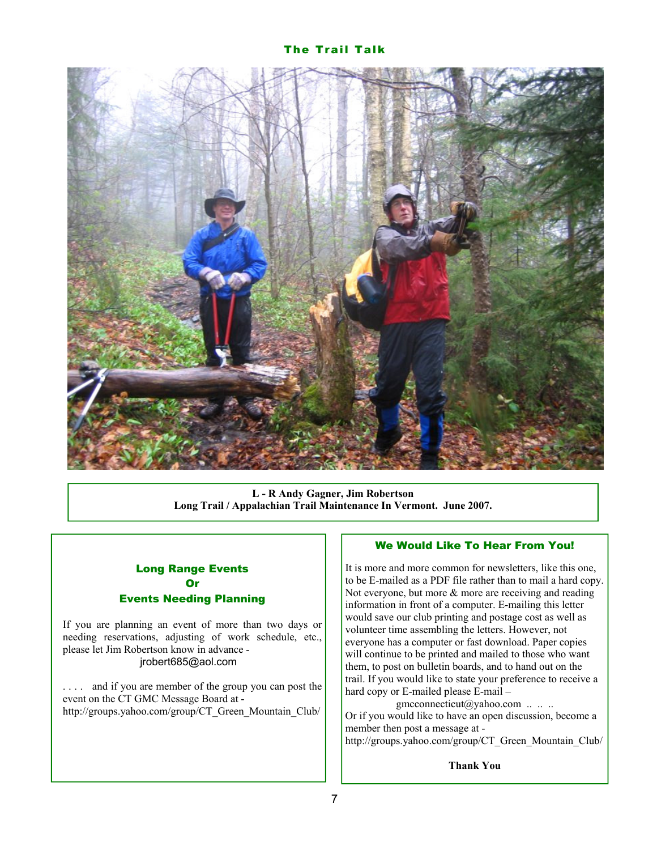#### The Trail Talk



L - R Andy Gagner, Jim Robertson Long Trail / Appalachian Trail Maintenance In Vermont. June 2007.

### Long Range Events **Or** Events Needing Planning

If you are planning an event of more than two days or needing reservations, adjusting of work schedule, etc., please let Jim Robertson know in advance jrobert685@aol.com

. . . . and if you are member of the group you can post the event on the CT GMC Message Board at http://groups.yahoo.com/group/CT\_Green\_Mountain\_Club/

#### We Would Like To Hear From You!

It is more and more common for newsletters, like this one, to be E-mailed as a PDF file rather than to mail a hard copy. Not everyone, but more & more are receiving and reading information in front of a computer. E-mailing this letter would save our club printing and postage cost as well as volunteer time assembling the letters. However, not everyone has a computer or fast download. Paper copies will continue to be printed and mailed to those who want them, to post on bulletin boards, and to hand out on the trail. If you would like to state your preference to receive a hard copy or E-mailed please E-mail –

gmcconnecticut@yahoo.com .. .. .. Or if you would like to have an open discussion, become a member then post a message at http://groups.yahoo.com/group/CT\_Green\_Mountain\_Club/

Thank You